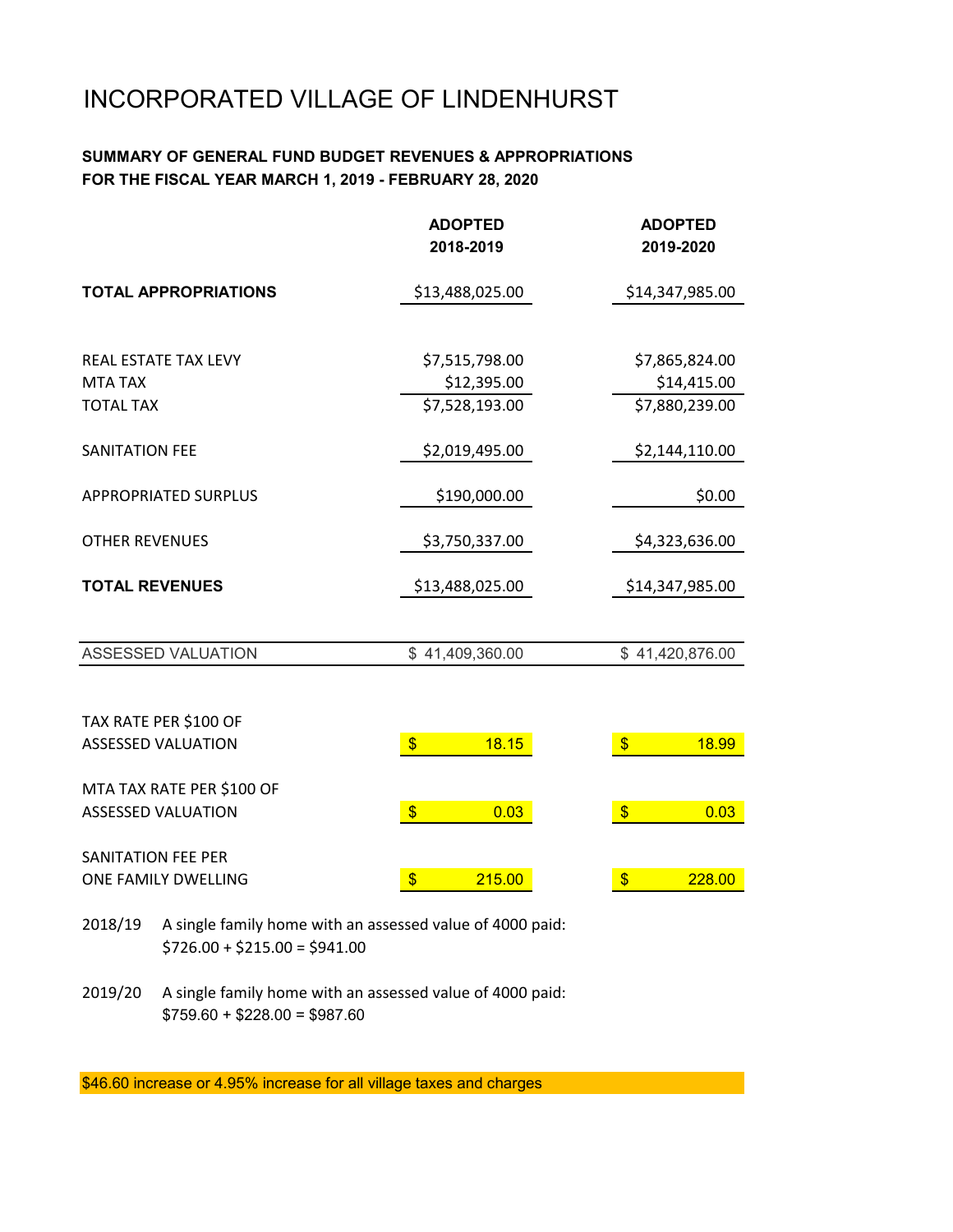# INCORPORATED VILLAGE OF LINDENHURST

#### **SUMMARY OF GENERAL FUND BUDGET REVENUES & APPROPRIATIONS FOR THE FISCAL YEAR MARCH 1, 2019 - FEBRUARY 28, 2020**

|                             | <b>ADOPTED</b><br>2018-2019        | <b>ADOPTED</b><br>2019-2020 |  |  |  |
|-----------------------------|------------------------------------|-----------------------------|--|--|--|
| <b>TOTAL APPROPRIATIONS</b> | \$13,488,025.00                    | \$14,347,985.00             |  |  |  |
|                             |                                    |                             |  |  |  |
| <b>REAL ESTATE TAX LEVY</b> | \$7,515,798.00                     | \$7,865,824.00              |  |  |  |
| <b>MTA TAX</b>              | \$12,395.00                        | \$14,415.00                 |  |  |  |
| <b>TOTAL TAX</b>            | \$7,528,193.00                     | \$7,880,239.00              |  |  |  |
| <b>SANITATION FEE</b>       | \$2,019,495.00                     | \$2,144,110.00              |  |  |  |
| <b>APPROPRIATED SURPLUS</b> | \$190,000.00                       | \$0.00                      |  |  |  |
| <b>OTHER REVENUES</b>       | \$3,750,337.00                     | \$4,323,636.00              |  |  |  |
| <b>TOTAL REVENUES</b>       | \$13,488,025.00                    | \$14,347,985.00             |  |  |  |
|                             |                                    |                             |  |  |  |
| <b>ASSESSED VALUATION</b>   | \$41,409,360.00                    | \$41,420,876.00             |  |  |  |
|                             |                                    |                             |  |  |  |
| TAX RATE PER \$100 OF       |                                    |                             |  |  |  |
| <b>ASSESSED VALUATION</b>   | $\sqrt{3}$<br>18.15                | $\sqrt[6]{3}$<br>18.99      |  |  |  |
| MTA TAX RATE PER \$100 OF   |                                    |                             |  |  |  |
| <b>ASSESSED VALUATION</b>   | $\sqrt{3}$<br>0.03                 | $\sqrt[6]{3}$<br>0.03       |  |  |  |
| SANITATION FEE PER          |                                    |                             |  |  |  |
| ONE FAMILY DWELLING         | $\overline{\mathcal{S}}$<br>215.00 | $\frac{1}{2}$<br>228.00     |  |  |  |

- 2018/19 A single family home with an assessed value of 4000 paid:  $$726.00 + $215.00 = $941.00$
- 2019/20 A single family home with an assessed value of 4000 paid:  $$759.60 + $228.00 = $987.60$

\$46.60 increase or 4.95% increase for all village taxes and charges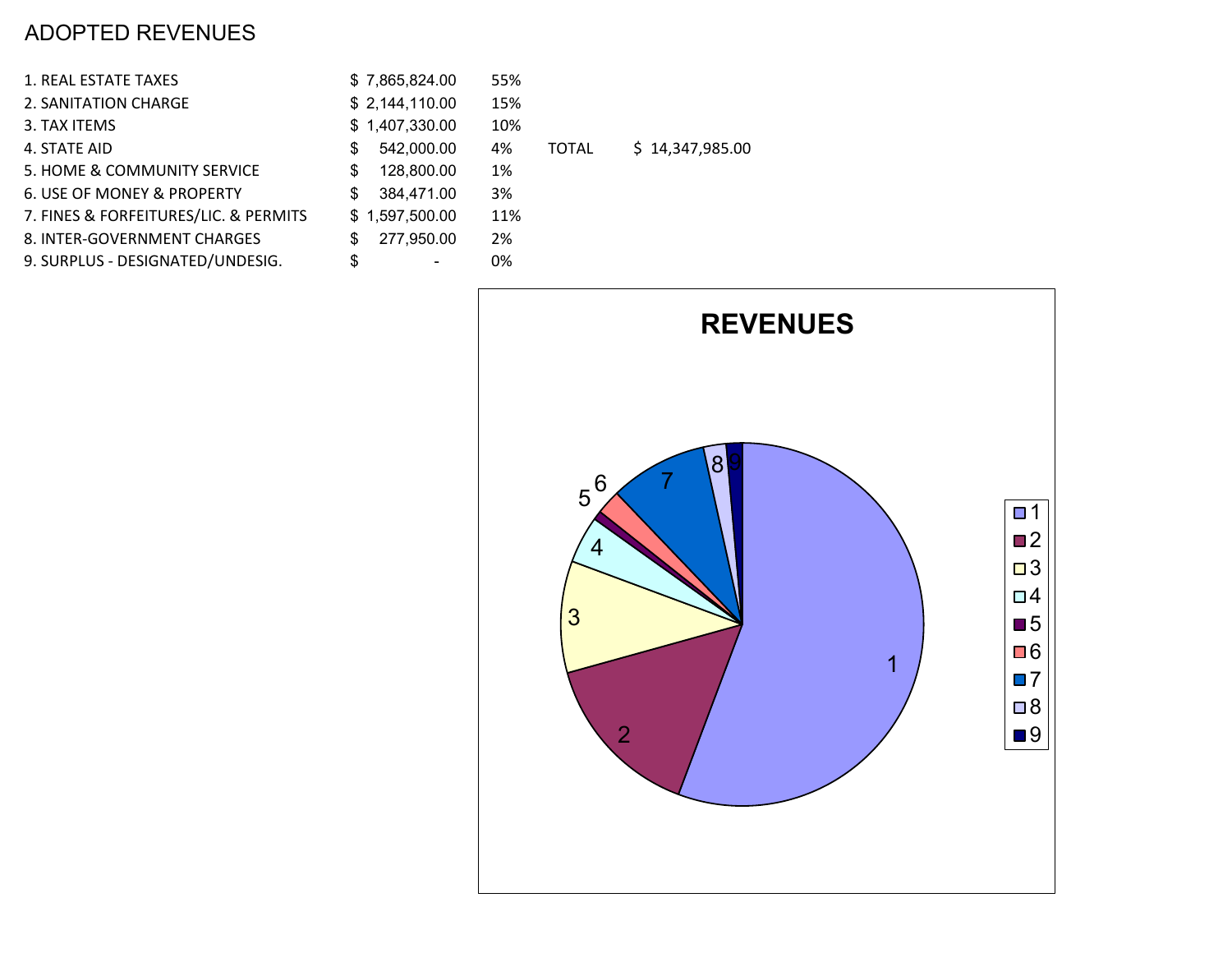## ADOPTED REVENUES

| 1. REAL ESTATE TAXES                  | \$7,865,824.00   | 55% |              |     |
|---------------------------------------|------------------|-----|--------------|-----|
| 2. SANITATION CHARGE                  | \$2,144,110.00   | 15% |              |     |
| 3. TAX ITEMS                          | \$1,407,330.00   | 10% |              |     |
| 4. STATE AID                          | 542,000.00<br>S  | 4%  | <b>TOTAL</b> | \$1 |
| 5. HOME & COMMUNITY SERVICE           | 128,800.00<br>S  | 1%  |              |     |
| 6. USE OF MONEY & PROPERTY            | 384,471.00<br>\$ | 3%  |              |     |
| 7. FINES & FORFEITURES/LIC. & PERMITS | \$1,597,500.00   | 11% |              |     |
| 8. INTER-GOVERNMENT CHARGES           | 277,950.00<br>\$ | 2%  |              |     |
| 9. SURPLUS - DESIGNATED/UNDESIG.      | \$               | 0%  |              |     |
|                                       |                  |     |              |     |



14,347,985.00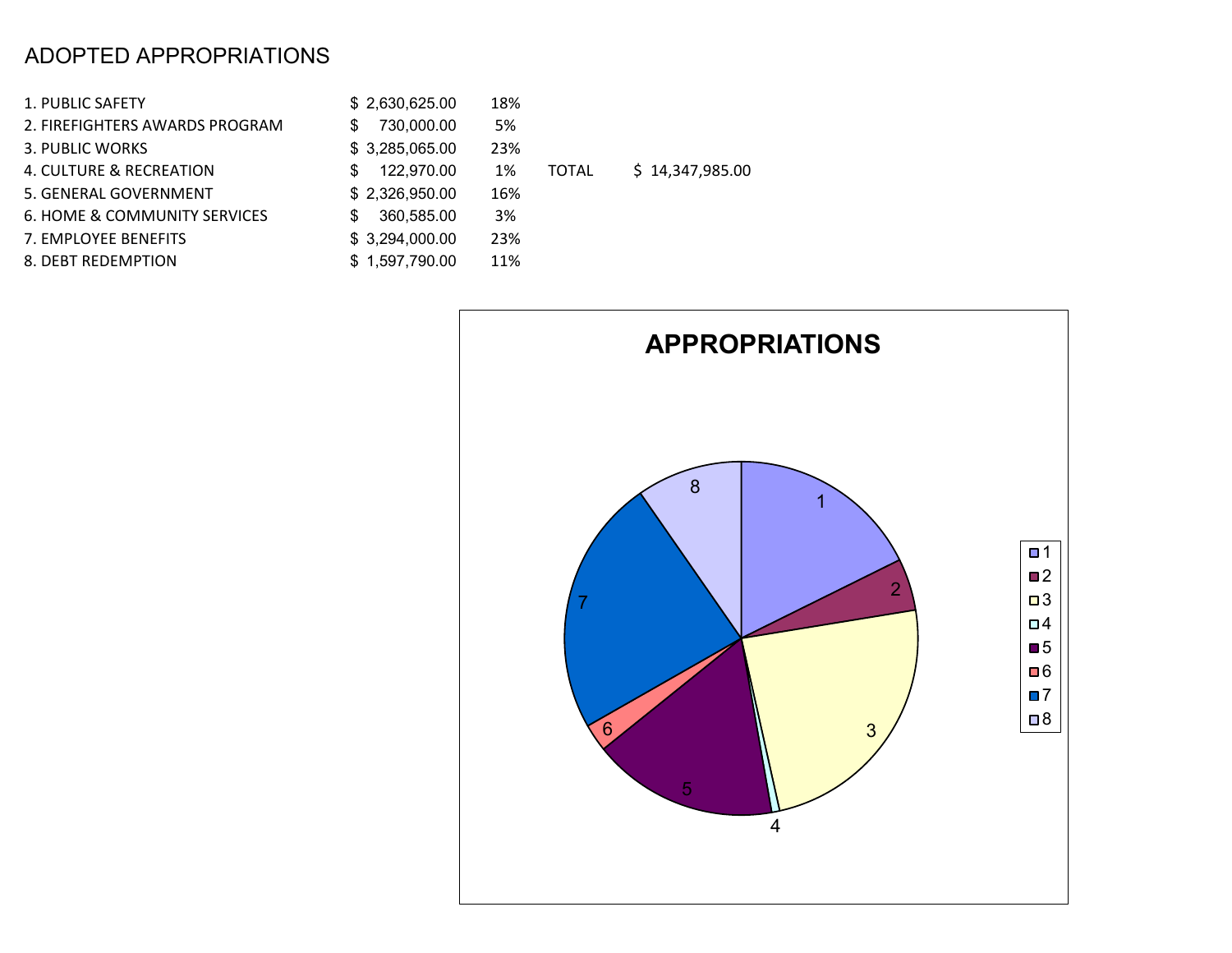#### ADOPTED APPROPRIATIONS

| 1. PUBLIC SAFETY               | \$2,630,625.00    | 18%         |
|--------------------------------|-------------------|-------------|
| 2. FIREFIGHTERS AWARDS PROGRAM | 730,000.00<br>\$. | 5%          |
| 3. PUBLIC WORKS                | \$3,285,065.00    | 23%         |
| 4. CULTURE & RECREATION        | 122,970.00<br>S   | 1%<br>TOTAL |
| 5. GENERAL GOVERNMENT          | \$2,326,950.00    | 16%         |
| 6. HOME & COMMUNITY SERVICES   | 360,585.00        | 3%          |
| 7. EMPLOYEE BENEFITS           | \$3,294,000.00    | 23%         |
| 8. DEBT REDEMPTION             | \$1,597,790.00    | 11%         |

 $$14,347,985.00$ 

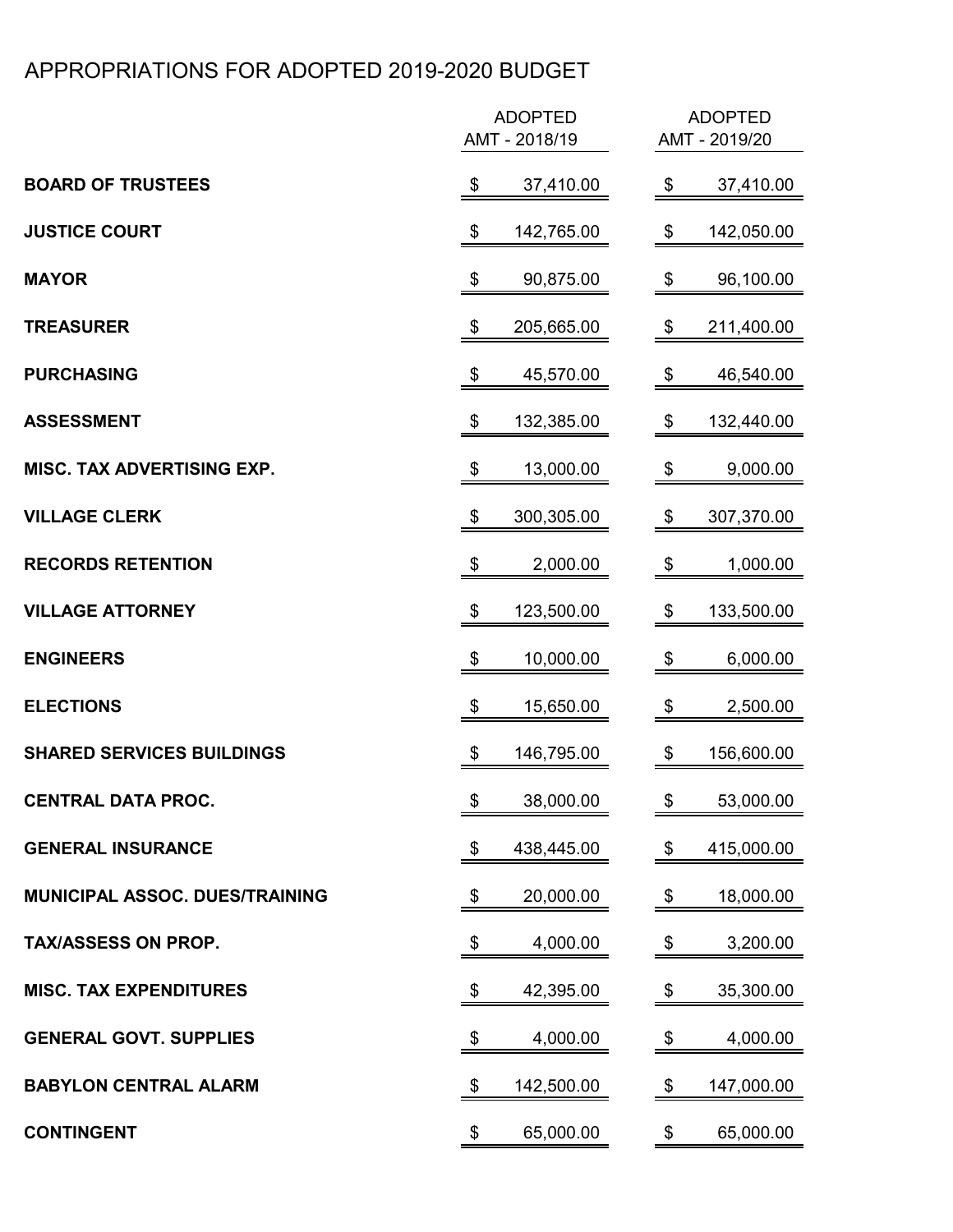### APPROPRIATIONS FOR ADOPTED 2019-2020 BUDGET

|                                   | <b>ADOPTED</b><br>AMT - 2018/19        | <b>ADOPTED</b><br>AMT - 2019/20 |
|-----------------------------------|----------------------------------------|---------------------------------|
| <b>BOARD OF TRUSTEES</b>          | 37,410.00<br>\$                        | 37,410.00<br>\$                 |
| <b>JUSTICE COURT</b>              | \$<br>142,765.00                       | \$<br>142,050.00                |
| <b>MAYOR</b>                      | \$<br>90,875.00                        | \$<br>96,100.00                 |
| <b>TREASURER</b>                  | \$<br>205,665.00                       | \$<br>211,400.00                |
| <b>PURCHASING</b>                 | \$<br>45,570.00                        | \$<br>46,540.00                 |
| <b>ASSESSMENT</b>                 | \$<br>132,385.00                       | \$<br>132,440.00                |
| <b>MISC. TAX ADVERTISING EXP.</b> | $\boldsymbol{\theta}$<br>13,000.00     | \$<br>9,000.00                  |
| <b>VILLAGE CLERK</b>              | $\boldsymbol{\theta}$<br>300,305.00    | \$<br>307,370.00                |
| <b>RECORDS RETENTION</b>          | \$<br>2,000.00                         | \$<br>1,000.00                  |
| <b>VILLAGE ATTORNEY</b>           | \$<br>123,500.00                       | \$<br>133,500.00                |
| <b>ENGINEERS</b>                  | 10,000.00<br>\$                        | 6,000.00<br>\$                  |
| <b>ELECTIONS</b>                  | \$<br>15,650.00                        | \$<br>2,500.00                  |
| <b>SHARED SERVICES BUILDINGS</b>  | 146,795.00<br>\$                       | \$<br>156,600.00                |
| <b>CENTRAL DATA PROC.</b>         | \$<br>38,000.00                        | \$<br>53,000.00                 |
| <b>GENERAL INSURANCE</b>          | $\boldsymbol{\$}$<br>438,445.00        | $\,$<br>415,000.00              |
| MUNICIPAL ASSOC. DUES/TRAINING    | \$<br>20,000.00                        | 18,000.00<br>\$                 |
| <b>TAX/ASSESS ON PROP.</b>        | $\boldsymbol{\mathsf{\$}}$<br>4,000.00 | \$<br>3,200.00                  |
| <b>MISC. TAX EXPENDITURES</b>     | \$<br>42,395.00                        | \$<br>35,300.00                 |
| <b>GENERAL GOVT. SUPPLIES</b>     | \$<br>4,000.00                         | \$<br>4,000.00                  |
| <b>BABYLON CENTRAL ALARM</b>      | \$<br>142,500.00                       | \$<br>147,000.00                |
| <b>CONTINGENT</b>                 | 65,000.00<br>\$                        | \$<br>65,000.00                 |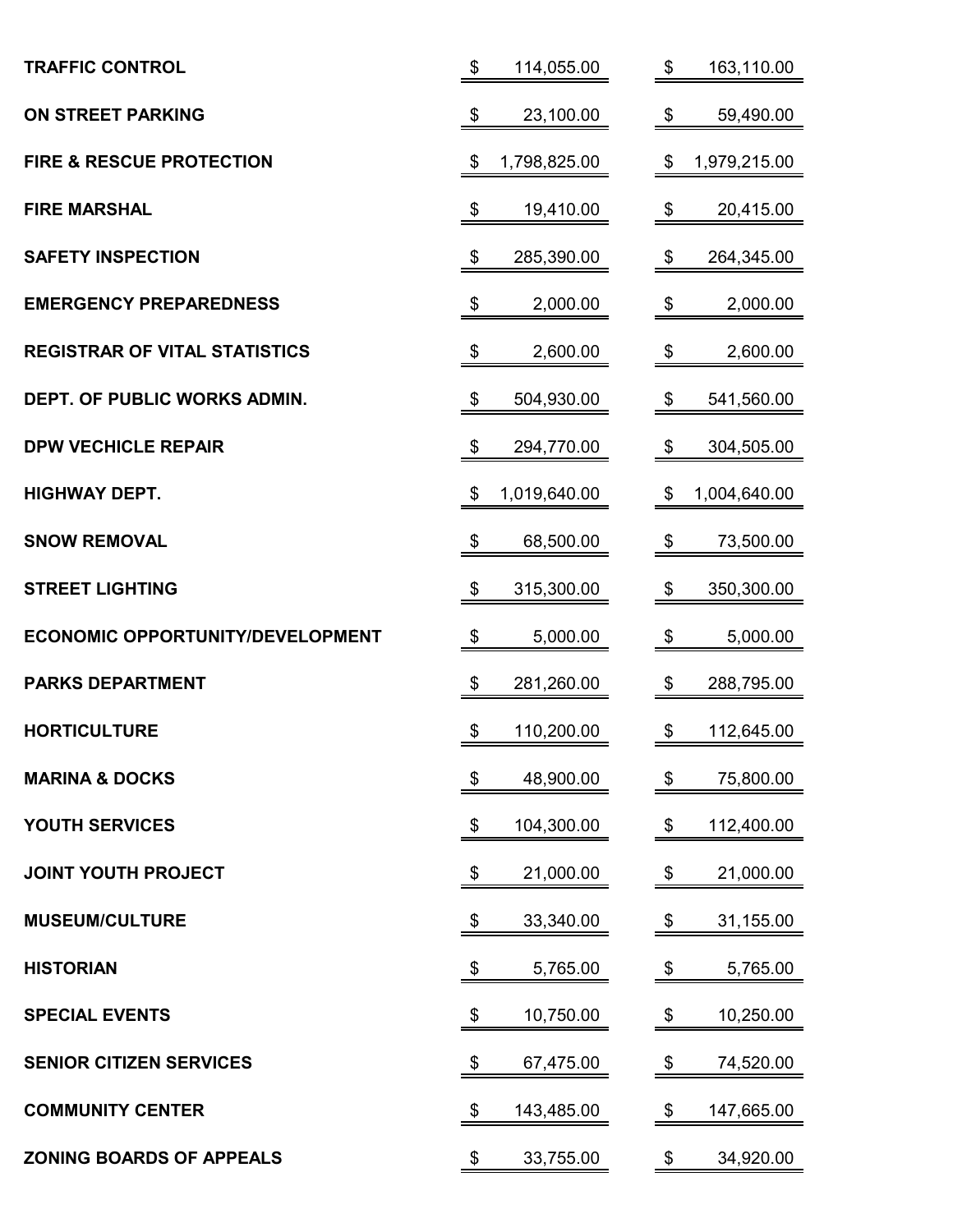| <b>TRAFFIC CONTROL</b>                  | $\boldsymbol{\theta}$<br>114,055.00      | 163,110.00<br>\$                         |
|-----------------------------------------|------------------------------------------|------------------------------------------|
| <b>ON STREET PARKING</b>                | \$<br>23,100.00                          | \$<br>59,490.00                          |
| <b>FIRE &amp; RESCUE PROTECTION</b>     | 1,798,825.00<br>\$                       | 1,979,215.00<br>\$                       |
| <b>FIRE MARSHAL</b>                     | \$<br>19,410.00                          | \$<br>20,415.00                          |
| <b>SAFETY INSPECTION</b>                | 285,390.00<br>$\boldsymbol{\mathsf{\$}}$ | 264,345.00<br>$\boldsymbol{\mathsf{\$}}$ |
| <b>EMERGENCY PREPAREDNESS</b>           | \$<br>2,000.00                           | $\boldsymbol{\mathsf{\$}}$<br>2,000.00   |
| <b>REGISTRAR OF VITAL STATISTICS</b>    | $\boldsymbol{\mathcal{L}}$<br>2,600.00   | \$<br>2,600.00                           |
| <b>DEPT. OF PUBLIC WORKS ADMIN.</b>     | \$<br>504,930.00                         | \$<br>541,560.00                         |
| <b>DPW VECHICLE REPAIR</b>              | $\boldsymbol{\mathsf{\$}}$<br>294,770.00 | \$<br>304,505.00                         |
| <b>HIGHWAY DEPT.</b>                    | 1,019,640.00<br>\$                       | 1,004,640.00<br>\$                       |
| <b>SNOW REMOVAL</b>                     | 68,500.00<br>\$                          | \$<br>73,500.00                          |
| <b>STREET LIGHTING</b>                  | 315,300.00<br>\$                         | 350,300.00<br>\$                         |
| <b>ECONOMIC OPPORTUNITY/DEVELOPMENT</b> | $\boldsymbol{\theta}$<br>5,000.00        | \$<br>5,000.00                           |
| <b>PARKS DEPARTMENT</b>                 | \$<br>281,260.00                         | \$<br>288,795.00                         |
| <b>HORTICULTURE</b>                     | \$<br>110,200.00                         | \$<br>112,645.00                         |
| <b>MARINA &amp; DOCKS</b>               | \$<br>48,900.00                          | \$<br>75,800.00                          |
| <b>YOUTH SERVICES</b>                   | 104,300.00<br>\$                         | 112,400.00<br>\$                         |
| <b>JOINT YOUTH PROJECT</b>              | \$<br>21,000.00                          | 21,000.00<br>\$                          |
| <b>MUSEUM/CULTURE</b>                   | \$<br>33,340.00                          | \$<br>31,155.00                          |
| <b>HISTORIAN</b>                        | \$<br>5,765.00                           | \$<br>5,765.00                           |
| <b>SPECIAL EVENTS</b>                   | $\boldsymbol{\theta}$<br>10,750.00       | \$<br>10,250.00                          |
| <b>SENIOR CITIZEN SERVICES</b>          | \$<br>67,475.00                          | 74,520.00<br>\$                          |
| <b>COMMUNITY CENTER</b>                 | \$<br>143,485.00                         | \$<br>147,665.00                         |
| <b>ZONING BOARDS OF APPEALS</b>         | \$<br>33,755.00                          | \$<br>34,920.00                          |